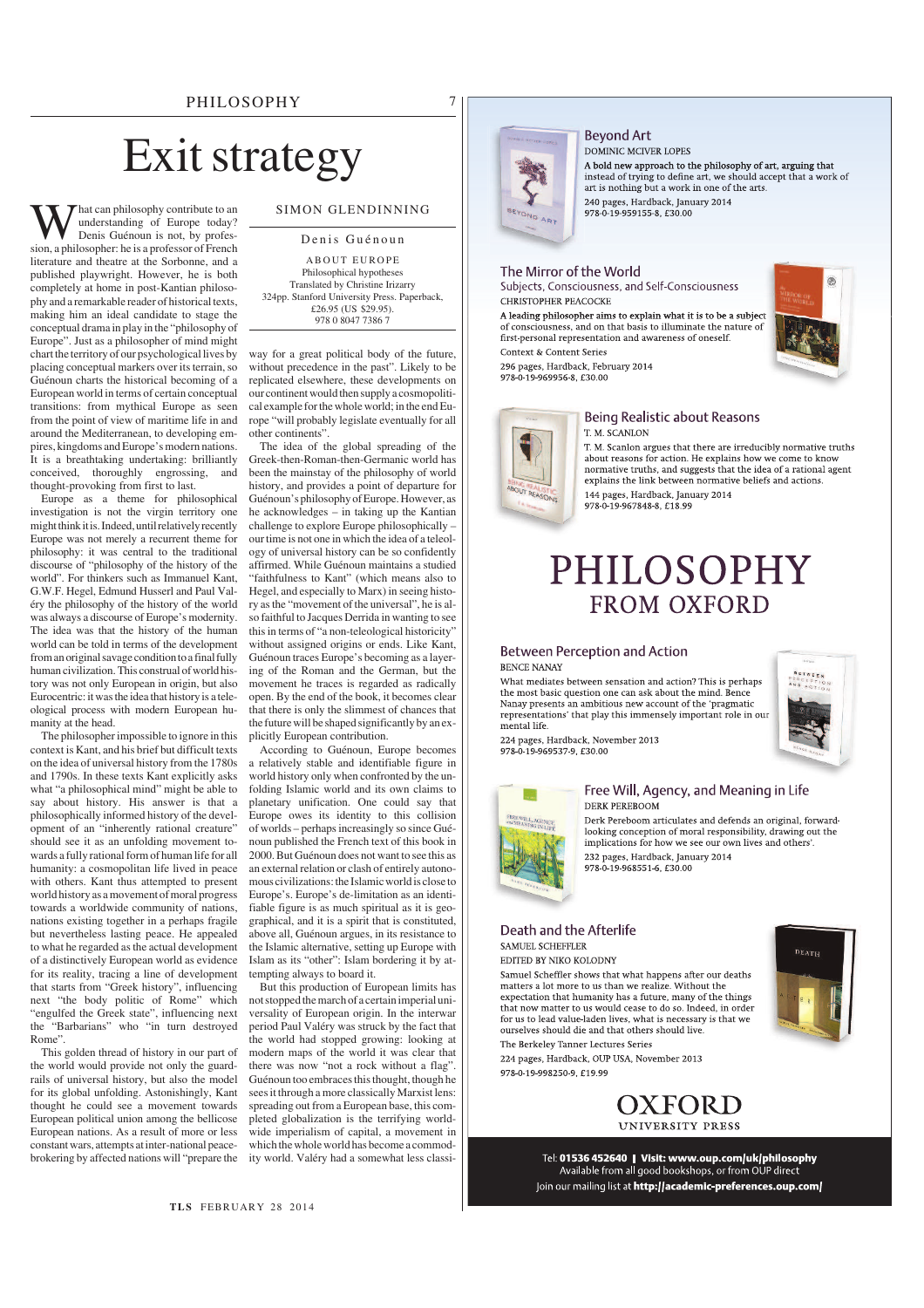## PHILOSOPHY 7

# Exit strategy

**W** hat can philosophy contribute to an understanding of Europe today?<br>Denis Guénoun is not, by profession, a philosopher: he is a professor of French hat can philosophy contribute to an understanding of Europe today? Denis Guénoun is not, by profesliterature and theatre at the Sorbonne, and a published playwright. However, he is both completely at home in post-Kantian philosophy and a remarkable reader of historical texts, making him an ideal candidate to stage the conceptual drama in play in the "philosophy of Europe". Just as a philosopher of mind might chart the territory of our psychological lives by placing conceptual markers over its terrain, so Guénoun charts the historical becoming of a European world in terms of certain conceptual transitions: from mythical Europe as seen from the point of view of maritime life in and around the Mediterranean, to developing empires, kingdoms and Europe's modern nations. It is a breathtaking undertaking: brilliantly conceived, thoroughly engrossing, and thought-provoking from first to last.

Europe as a theme for philosophical investigation is not the virgin territory one might think it is. Indeed, until relatively recently Europe was not merely a recurrent theme for philosophy: it was central to the traditional discourse of "philosophy of the history of the world". For thinkers such as Immanuel Kant, G.W.F. Hegel, Edmund Husserl and Paul Valéry the philosophy of the history of the world was always a discourse of Europe's modernity. The idea was that the history of the human world can be told in terms of the development from an original savage condition to a final fully human civilization. This construal of world history was not only European in origin, but also Eurocentric: it was the idea that history is a teleological process with modern European humanity at the head.

The philosopher impossible to ignore in this context is Kant, and his brief but difficult texts on the idea of universal history from the 1780s and 1790s. In these texts Kant explicitly asks what "a philosophical mind" might be able to say about history. His answer is that a philosophically informed history of the development of an "inherently rational creature" should see it as an unfolding movement towards a fully rational form of human life for all humanity: a cosmopolitan life lived in peace with others. Kant thus attempted to present world history as a movement of moral progress towards a worldwide community of nations, nations existing together in a perhaps fragile but nevertheless lasting peace. He appealed to what he regarded as the actual development of a distinctively European world as evidence for its reality, tracing a line of development that starts from "Greek history", influencing next "the body politic of Rome" which "engulfed the Greek state", influencing next the "Barbarians" who "in turn destroyed Rome".

This golden thread of history in our part of the world would provide not only the guardrails of universal history, but also the model for its global unfolding. Astonishingly, Kant thought he could see a movement towards European political union among the bellicose European nations. As a result of more or less constant wars, attempts at inter-national peacebrokering by affected nations will "prepare the

## SIMON GLENDINNING

Denis Guénoun A BOUT EUROPE Philosophical hypotheses Translated by Christine Irizarry 324pp. Stanford University Press. Paperback, £26.95 (US \$29.95). 078 0 8047 7386 7

way for a great political body of the future, without precedence in the past". Likely to be replicated elsewhere, these developments on our continent would then supply a cosmopolitical example for the whole world; in the end Europe "will probably legislate eventually for all other continents".

The idea of the global spreading of the Greek-then-Roman-then-Germanic world has been the mainstay of the philosophy of world history, and provides a point of departure for Guénoun's philosophy of Europe. However, as he acknowledges – in taking up the Kantian challenge to explore Europe philosophically – our time is not one in which the idea of a teleology of universal history can be so confidently affirmed. While Guénoun maintains a studied "faithfulness to Kant" (which means also to Hegel, and especially to Marx) in seeing history as the "movement of the universal", he is also faithful to Jacques Derrida in wanting to see this in terms of "a non-teleological historicity" without assigned origins or ends. Like Kant, Guénoun traces Europe's becoming as a layering of the Roman and the German, but the movement he traces is regarded as radically open. By the end of the book, it becomes clear that there is only the slimmest of chances that the future will be shaped significantly by an explicitly European contribution.

According to Guénoun, Europe becomes relatively stable and identifiable figure in world history only when confronted by the unfolding Islamic world and its own claims to planetary unification. One could say that Europe owes its identity to this collision of worlds – perhaps increasingly so since Guénoun published the French text of this book in 2000. But Guénoun does not want to see this as an external relation or clash of entirely autonomous civilizations: the Islamic world is close to Europe's. Europe's de-limitation as an identifiable figure is as much spiritual as it is geographical, and it is a spirit that is constituted, above all, Guénoun argues, in its resistance to the Islamic alternative, setting up Europe with Islam as its "other": Islam bordering it by attempting always to board it.

But this production of European limits has not stopped the march of a certain imperial universality of European origin. In the interwar period Paul Valéry was struck by the fact that the world had stopped growing: looking at modern maps of the world it was clear that there was now "not a rock without a flag". Guénoun too embraces this thought, though he sees it through a more classically Marxist lens: spreading out from a European base, this completed globalization is the terrifying worldwide imperialism of capital, a movement in which the whole world has become a commodity world. Valéry had a somewhat less classi-



#### **Bevond Art** DOMINIC MCIVER LOPES

A bold new approach to the philosophy of art, arguing that *A* bout a completed of trying to define art, we should accept that a work of art is nothing but a work in one of the arts. 240 pages, Hardback, January 2014 978-0-19-959155-8. £30.00

### The Mirror of the World

Subjects, Consciousness, and Self-Consciousness CHRISTOPHER PEACOCKE

A leading philosopher aims to explain what it is to be a subject of consciousness, and on that basis to illuminate the nature of first personal representation and awareness of oneself. Context & Content Series

296 pages, Hardback, February 2014 978-0-19-969956-8, £30.00





### Being Realistic about Reasons T. M. SCANLON

T. M. Scanlon argues that there are irreducibly normative truths about reasons for action. He explains how we come to know normative truths, and suggests that the idea of a rational agent explains the link between normative beliefs and actions. 144 pages, Hardback, January 2014 0-19-967848-8, £18.

# **PHILOSOPHY FROM OXFORD**

### **Between Perception and Action BENCE NANAY**

What mediates between sensation and action? This is perhaps the most basic question one can ask about the mind. Bence Nanay presents an ambitious new account of the 'pragmatic representations' that play this immensely important role in our mental life.

224 pages, Hardback, November 2013<br>978-0-19-969537-9, £30.00



### Free Will, Agency, and Meaning in Life DERK PEREBOOM

Derk Pereboom articulates and defends an original, forwardlooking conception of moral responsibility, drawing out the implications for how we see our own lives and others'. 232 pages, Hardback, January 2014 978-0-19-968551-6, £30.00

### Death and the Afterlife SAMUEL SCHEFFLER

EDITED BY NIKO KOLODNY

Samuel Scheffler shows that what happens after our deaths matters a lot more to us than we realize. Without the expectation that humanity has a future, many of the things that now matter to us would cease to do so. Indeed, in order for us to lead value-laden lives, what is necessary is that we ourselves should die and that others should live. The Berkeley Tanner Lectures Series

224 pages, Hardback, OUP USA, November 2013 978-0-19-998250-9, £19.99



Tel: 01536 452640 | Visit: www.oup.com/uk/philosophy<br>Available from all good bookshops, or from OUP direct Join our mailing list at http://academic-preferences.oup.com/

**TLS** FEBRUARY 28 2014



DEATH